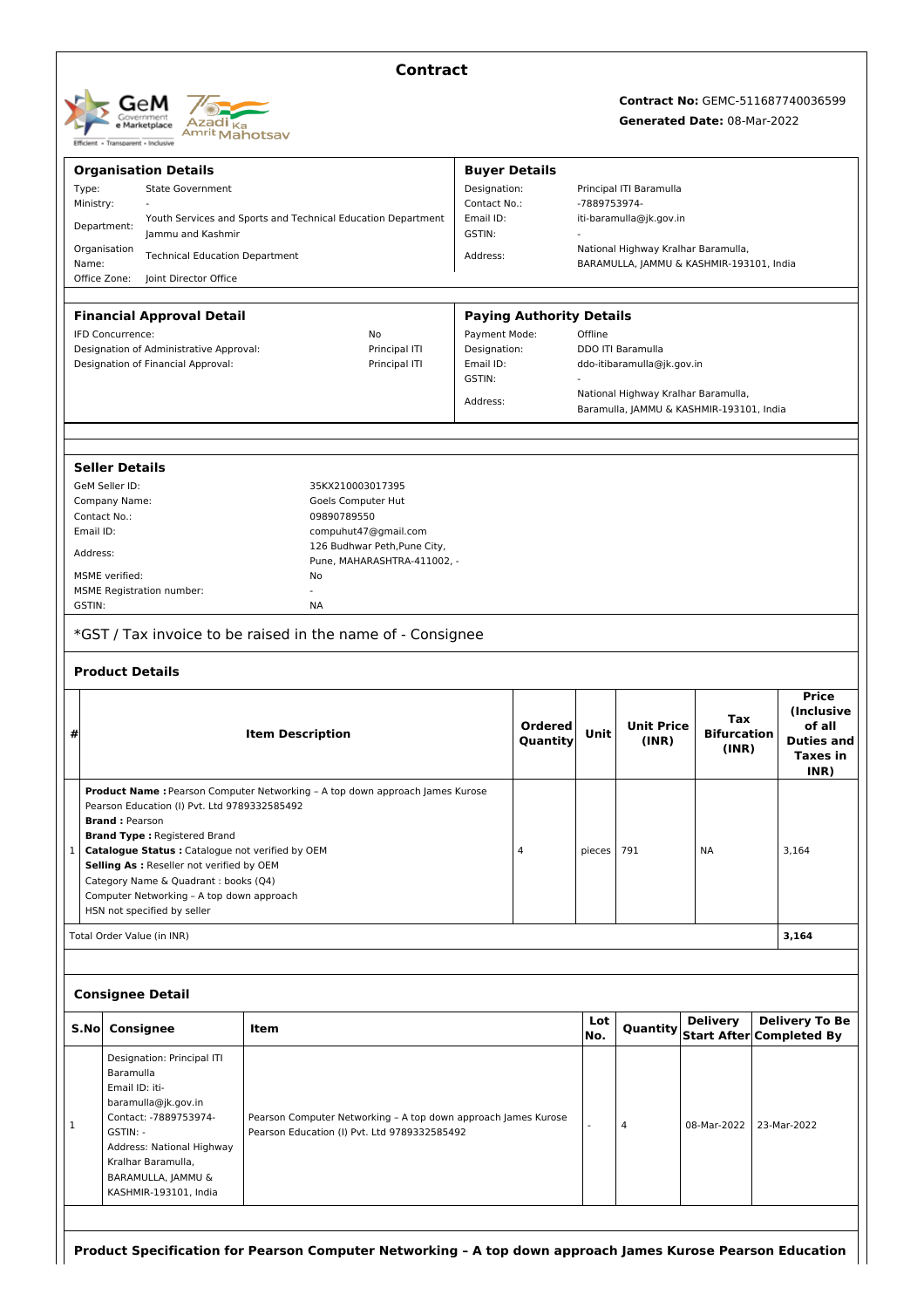| <b>GeM</b><br>Government<br>e Marketplace<br>Transparent - Inclusive<br><b>Efficient -</b> | Azadi <sub>Ka</sub><br><sup>Amrit</sup> Mahotsav |
|--------------------------------------------------------------------------------------------|--------------------------------------------------|
|--------------------------------------------------------------------------------------------|--------------------------------------------------|

## **Contract**

**Contract No:** GEMC-511687740036599

# **Generated Date:** 08-Mar-2022

|                                                                               | <b>Organisation Details</b>                                                                      |                                                                                                                | <b>Buyer Details</b> |                                 |                         |                                                                                 |                                                    |  |                                      |
|-------------------------------------------------------------------------------|--------------------------------------------------------------------------------------------------|----------------------------------------------------------------------------------------------------------------|----------------------|---------------------------------|-------------------------|---------------------------------------------------------------------------------|----------------------------------------------------|--|--------------------------------------|
| Type:                                                                         | <b>State Government</b>                                                                          |                                                                                                                |                      | Designation:                    |                         | Principal ITI Baramulla                                                         |                                                    |  |                                      |
|                                                                               | Ministry:                                                                                        |                                                                                                                |                      | Contact No.:                    |                         | -7889753974-                                                                    |                                                    |  |                                      |
|                                                                               | Youth Services and Sports and Technical Education Department<br>Department:<br>Jammu and Kashmir |                                                                                                                | Email ID:<br>GSTIN:  |                                 | iti-baramulla@jk.gov.in |                                                                                 |                                                    |  |                                      |
|                                                                               | Organisation                                                                                     |                                                                                                                | Address:             |                                 |                         | National Highway Kralhar Baramulla,                                             |                                                    |  |                                      |
| Name:                                                                         | <b>Technical Education Department</b><br>Office Zone:<br>Joint Director Office                   |                                                                                                                |                      |                                 |                         | BARAMULLA, JAMMU & KASHMIR-193101, India                                        |                                                    |  |                                      |
|                                                                               |                                                                                                  |                                                                                                                |                      |                                 |                         |                                                                                 |                                                    |  |                                      |
|                                                                               | <b>Financial Approval Detail</b>                                                                 |                                                                                                                |                      | <b>Paying Authority Details</b> |                         |                                                                                 |                                                    |  |                                      |
|                                                                               | IFD Concurrence:                                                                                 | Payment Mode:                                                                                                  |                      | Offline                         |                         |                                                                                 |                                                    |  |                                      |
| Designation of Administrative Approval:<br>Designation of Financial Approval: |                                                                                                  | Principal ITI<br>Designation:<br>Email ID:<br>Principal ITI                                                    |                      |                                 |                         | <b>DDO ITI Baramulla</b><br>ddo-itibaramulla@jk.gov.in                          |                                                    |  |                                      |
|                                                                               |                                                                                                  |                                                                                                                | GSTIN:               |                                 |                         |                                                                                 |                                                    |  |                                      |
|                                                                               |                                                                                                  |                                                                                                                | Address:             |                                 |                         | National Highway Kralhar Baramulla,<br>Baramulla, JAMMU & KASHMIR-193101, India |                                                    |  |                                      |
|                                                                               |                                                                                                  |                                                                                                                |                      |                                 |                         |                                                                                 |                                                    |  |                                      |
|                                                                               | <b>Seller Details</b>                                                                            |                                                                                                                |                      |                                 |                         |                                                                                 |                                                    |  |                                      |
|                                                                               | GeM Seller ID:                                                                                   | 35KX210003017395                                                                                               |                      |                                 |                         |                                                                                 |                                                    |  |                                      |
|                                                                               | Company Name:                                                                                    | Goels Computer Hut                                                                                             |                      |                                 |                         |                                                                                 |                                                    |  |                                      |
| Contact No.:                                                                  |                                                                                                  | 09890789550                                                                                                    |                      |                                 |                         |                                                                                 |                                                    |  |                                      |
| Email ID:                                                                     |                                                                                                  | compuhut47@gmail.com                                                                                           |                      |                                 |                         |                                                                                 |                                                    |  |                                      |
| Address:                                                                      |                                                                                                  | 126 Budhwar Peth, Pune City,<br>Pune, MAHARASHTRA-411002, -                                                    |                      |                                 |                         |                                                                                 |                                                    |  |                                      |
|                                                                               | MSME verified:                                                                                   | No                                                                                                             |                      |                                 |                         |                                                                                 |                                                    |  |                                      |
|                                                                               | <b>MSME Registration number:</b>                                                                 |                                                                                                                |                      |                                 |                         |                                                                                 |                                                    |  |                                      |
| GSTIN:                                                                        |                                                                                                  | <b>NA</b>                                                                                                      |                      |                                 |                         |                                                                                 |                                                    |  |                                      |
|                                                                               |                                                                                                  | *GST / Tax invoice to be raised in the name of - Consignee                                                     |                      |                                 |                         |                                                                                 |                                                    |  |                                      |
|                                                                               | <b>Product Details</b>                                                                           |                                                                                                                |                      |                                 |                         |                                                                                 |                                                    |  |                                      |
|                                                                               |                                                                                                  |                                                                                                                |                      |                                 |                         |                                                                                 |                                                    |  | <b>Price</b>                         |
|                                                                               |                                                                                                  |                                                                                                                |                      | <b>Ordered</b>                  |                         | <b>Unit Price</b>                                                               | Tax                                                |  | <i>(Inclusive)</i><br>of all         |
| #                                                                             |                                                                                                  | <b>Item Description</b>                                                                                        |                      | Quantity                        | Unit                    | (INR)                                                                           | <b>Bifurcation</b><br>(INR)                        |  | <b>Duties and</b><br><b>Taxes in</b> |
|                                                                               |                                                                                                  |                                                                                                                |                      |                                 |                         |                                                                                 |                                                    |  | INR)                                 |
|                                                                               | Pearson Education (I) Pvt. Ltd 9789332585492                                                     | <b>Product Name: Pearson Computer Networking - A top down approach James Kurose</b>                            |                      |                                 |                         |                                                                                 |                                                    |  |                                      |
|                                                                               | <b>Brand: Pearson</b>                                                                            |                                                                                                                |                      |                                 |                         |                                                                                 |                                                    |  |                                      |
|                                                                               | <b>Brand Type: Registered Brand</b>                                                              |                                                                                                                |                      |                                 |                         |                                                                                 |                                                    |  |                                      |
| $\mathbf{1}$                                                                  | Catalogue Status : Catalogue not verified by OEM                                                 |                                                                                                                |                      | 4                               | pieces 791              |                                                                                 | ΝA                                                 |  | 3,164                                |
|                                                                               | Selling As : Reseller not verified by OEM<br>Category Name & Quadrant : books (Q4)               |                                                                                                                |                      |                                 |                         |                                                                                 |                                                    |  |                                      |
|                                                                               | Computer Networking - A top down approach                                                        |                                                                                                                |                      |                                 |                         |                                                                                 |                                                    |  |                                      |
|                                                                               | HSN not specified by seller                                                                      |                                                                                                                |                      |                                 |                         |                                                                                 |                                                    |  |                                      |
|                                                                               | Total Order Value (in INR)                                                                       |                                                                                                                |                      |                                 |                         |                                                                                 |                                                    |  | 3,164                                |
|                                                                               |                                                                                                  |                                                                                                                |                      |                                 |                         |                                                                                 |                                                    |  |                                      |
|                                                                               | <b>Consignee Detail</b>                                                                          |                                                                                                                |                      |                                 |                         |                                                                                 |                                                    |  |                                      |
| S.No                                                                          | Consignee                                                                                        | Item                                                                                                           |                      |                                 | Lot<br>No.              | Quantity                                                                        | <b>Delivery</b><br><b>Start After Completed By</b> |  | <b>Delivery To Be</b>                |
|                                                                               | Designation: Principal ITI                                                                       |                                                                                                                |                      |                                 |                         |                                                                                 |                                                    |  |                                      |
|                                                                               | Baramulla                                                                                        |                                                                                                                |                      |                                 |                         |                                                                                 |                                                    |  |                                      |
|                                                                               | Email ID: iti-                                                                                   |                                                                                                                |                      |                                 |                         |                                                                                 |                                                    |  |                                      |
|                                                                               |                                                                                                  |                                                                                                                |                      |                                 |                         |                                                                                 |                                                    |  |                                      |
|                                                                               | baramulla@jk.gov.in<br>Contact: -7889753974-                                                     |                                                                                                                |                      |                                 |                         |                                                                                 |                                                    |  |                                      |
|                                                                               | GSTIN: -                                                                                         | Pearson Computer Networking - A top down approach James Kurose<br>Pearson Education (I) Pvt. Ltd 9789332585492 |                      |                                 |                         | $\overline{4}$                                                                  | 08-Mar-2022                                        |  | 23-Mar-2022                          |
|                                                                               | Address: National Highway                                                                        |                                                                                                                |                      |                                 |                         |                                                                                 |                                                    |  |                                      |
| 1                                                                             | Kralhar Baramulla,                                                                               |                                                                                                                |                      |                                 |                         |                                                                                 |                                                    |  |                                      |
|                                                                               | BARAMULLA, JAMMU &<br>KASHMIR-193101, India                                                      |                                                                                                                |                      |                                 |                         |                                                                                 |                                                    |  |                                      |

**Product Specification for Pearson Computer Networking – A top down approach James Kurose Pearson Education**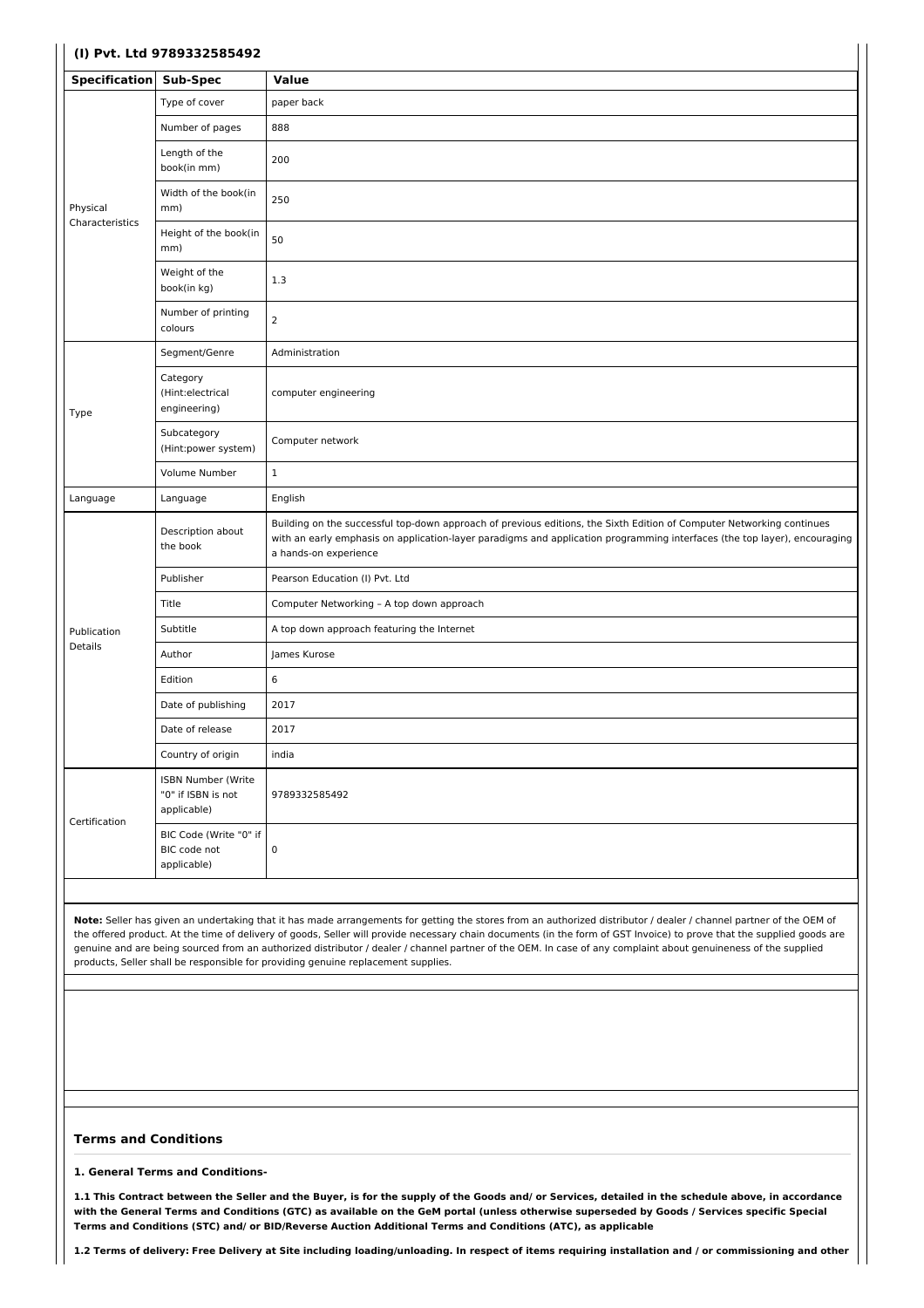# **(I) Pvt. Ltd 9789332585492**

| <b>Specification</b> | Sub-Spec                                                       | <b>Value</b>                                                                                                                                                                                                                                                                |
|----------------------|----------------------------------------------------------------|-----------------------------------------------------------------------------------------------------------------------------------------------------------------------------------------------------------------------------------------------------------------------------|
|                      | Type of cover                                                  | paper back                                                                                                                                                                                                                                                                  |
|                      | Number of pages                                                | 888                                                                                                                                                                                                                                                                         |
|                      | Length of the<br>book(in mm)                                   | 200                                                                                                                                                                                                                                                                         |
| Physical             | Width of the book(in<br>mm)                                    | 250                                                                                                                                                                                                                                                                         |
| Characteristics      | Height of the book(in<br>mm)                                   | 50                                                                                                                                                                                                                                                                          |
|                      | Weight of the<br>book(in kg)                                   | 1.3                                                                                                                                                                                                                                                                         |
|                      | Number of printing<br>colours                                  | $\overline{2}$                                                                                                                                                                                                                                                              |
|                      | Segment/Genre                                                  | Administration                                                                                                                                                                                                                                                              |
| Type                 | Category<br>(Hint:electrical<br>engineering)                   | computer engineering                                                                                                                                                                                                                                                        |
|                      | Subcategory<br>(Hint:power system)                             | Computer network                                                                                                                                                                                                                                                            |
|                      | Volume Number                                                  | $\mathbf{1}$                                                                                                                                                                                                                                                                |
| Language             | Language                                                       | English                                                                                                                                                                                                                                                                     |
|                      | Description about<br>the book                                  | Building on the successful top-down approach of previous editions, the Sixth Edition of Computer Networking continues<br>with an early emphasis on application-layer paradigms and application programming interfaces (the top layer), encouraging<br>a hands-on experience |
|                      | Publisher                                                      | Pearson Education (I) Pvt. Ltd                                                                                                                                                                                                                                              |
|                      | Title                                                          | Computer Networking - A top down approach                                                                                                                                                                                                                                   |
| Publication          | Subtitle                                                       | A top down approach featuring the Internet                                                                                                                                                                                                                                  |
| <b>Details</b>       | Author                                                         | James Kurose                                                                                                                                                                                                                                                                |
|                      | Edition                                                        | 6                                                                                                                                                                                                                                                                           |
|                      | Date of publishing                                             | 2017                                                                                                                                                                                                                                                                        |
|                      | Date of release                                                | 2017                                                                                                                                                                                                                                                                        |
|                      | Country of origin                                              | india                                                                                                                                                                                                                                                                       |
| Certification        | <b>ISBN Number (Write</b><br>"0" if ISBN is not<br>applicable) | 9789332585492                                                                                                                                                                                                                                                               |
|                      | BIC Code (Write "0" if<br>BIC code not<br>applicable)          | 0                                                                                                                                                                                                                                                                           |

 $\overline{1}$ 

**Note:** Seller has given an undertaking that it has made arrangements for getting the stores from an authorized distributor / dealer / channel partner of the OEM of the offered product. At the time of delivery of goods, Seller will provide necessary chain documents (in the form of GST Invoice) to prove that the supplied goods are genuine and are being sourced from an authorized distributor / dealer / channel partner of the OEM. In case of any complaint about genuineness of the supplied products, Seller shall be responsible for providing genuine replacement supplies.

### **Terms and Conditions**

**1. General Terms and Conditions-**

1.1 This Contract between the Seller and the Buyer, is for the supply of the Goods and/ or Services, detailed in the schedule above, in accordance with the General Terms and Conditions (GTC) as available on the GeM portal (unless otherwise superseded by Goods / Services specific Special **Terms and Conditions (STC) and/ or BID/Reverse Auction Additional Terms and Conditions (ATC), as applicable**

1.2 Terms of delivery: Free Delivery at Site including loading/unloading. In respect of items requiring installation and / or commissioning and other